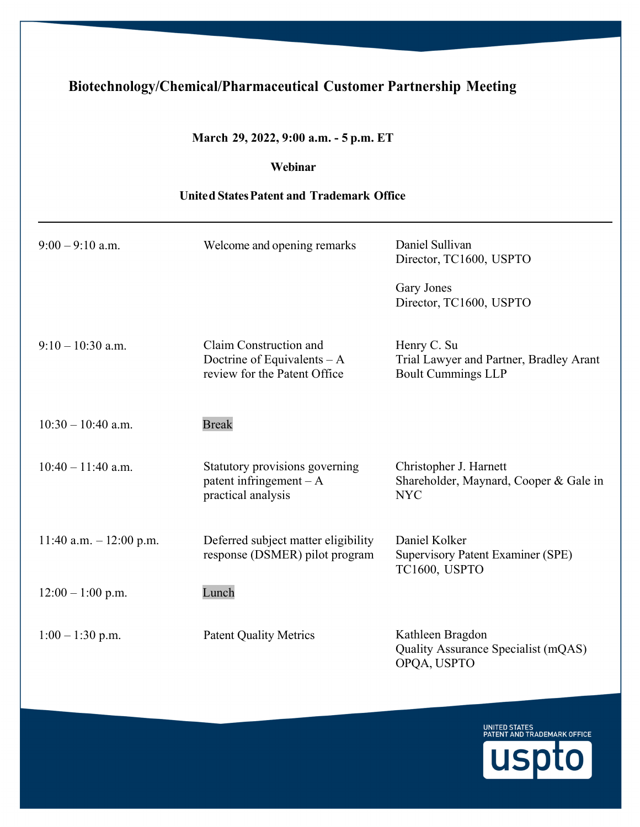## **Biotechnology/Chemical/Pharmaceutical Customer Partnership Meeting**

## **March 29, 2022, 9:00 a.m. - 5 p.m. ET**

## **Webinar**

## **Unite d States Patent and Trademark Office**

| $9:00 - 9:10$ a.m.       | Welcome and opening remarks                                                            | Daniel Sullivan<br>Director, TC1600, USPTO                                          |
|--------------------------|----------------------------------------------------------------------------------------|-------------------------------------------------------------------------------------|
|                          |                                                                                        | Gary Jones<br>Director, TC1600, USPTO                                               |
| $9:10-10:30$ a.m.        | Claim Construction and<br>Doctrine of Equivalents $-A$<br>review for the Patent Office | Henry C. Su<br>Trial Lawyer and Partner, Bradley Arant<br><b>Boult Cummings LLP</b> |
| $10:30 - 10:40$ a.m.     | <b>Break</b>                                                                           |                                                                                     |
| $10:40 - 11:40$ a.m.     | Statutory provisions governing<br>patent infringement $-A$<br>practical analysis       | Christopher J. Harnett<br>Shareholder, Maynard, Cooper & Gale in<br><b>NYC</b>      |
| 11:40 a.m. $-12:00$ p.m. | Deferred subject matter eligibility<br>response (DSMER) pilot program                  | Daniel Kolker<br><b>Supervisory Patent Examiner (SPE)</b><br>TC1600, USPTO          |
| $12:00 - 1:00$ p.m.      | Lunch                                                                                  |                                                                                     |
| $1:00 - 1:30$ p.m.       | <b>Patent Quality Metrics</b>                                                          | Kathleen Bragdon<br>Quality Assurance Specialist (mQAS)<br>OPQA, USPTO              |